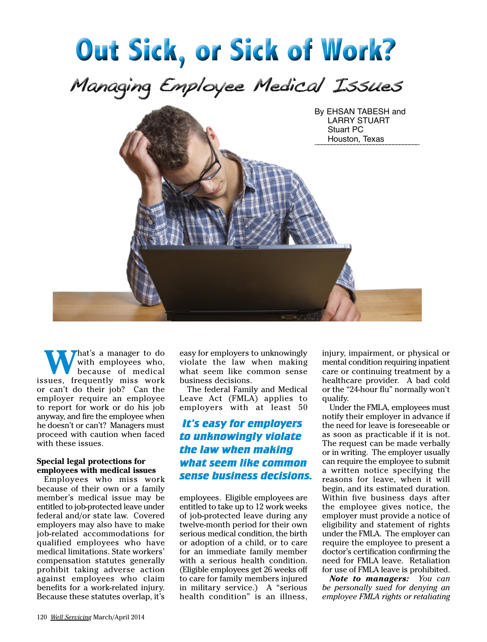

**W**hat's a manager to do with employees who, because of medical issues, frequently miss work or can't do their job? Can the employer require an employee to report for work or do his job anyway, and fire the employee when he doesn't or can't? Managers must proceed with caution when faced with these issues.

### **Special legal protections for employees with medical issues**

Employees who miss work because of their own or a family member's medical issue may be entitled to job-protected leave under federal and/or state law. Covered employers may also have to make job-related accommodations for qualified employees who have medical limitations. State workers' compensation statutes generally prohibit taking adverse action against employees who claim benefits for a work-related injury. Because these statutes overlap, it's

easy for employers to unknowingly violate the law when making what seem like common sense business decisions.

The federal Family and Medical Leave Act (FMLA) applies to employers with at least 50

# *It's easy for employers to unknowingly violate the law when making what seem like common sense business decisions.*

employees. Eligible employees are entitled to take up to 12 work weeks of job-protected leave during any twelve-month period for their own serious medical condition, the birth or adoption of a child, or to care for an immediate family member with a serious health condition. (Eligible employees get 26 weeks off to care for family members injured in military service.) A "serious health condition" is an illness,

injury, impairment, or physical or mental condition requiring inpatient care or continuing treatment by a healthcare provider. A bad cold or the "24-hour flu" normally won't qualify.

Under the FMLA, employees must notify their employer in advance if the need for leave is foreseeable or as soon as practicable if it is not. The request can be made verbally or in writing. The employer usually can require the employee to submit a written notice specifying the reasons for leave, when it will begin, and its estimated duration. Within five business days after the employee gives notice, the employer must provide a notice of eligibility and statement of rights under the FMLA. The employer can require the employee to present a doctor's certification confirming the need for FMLA leave. Retaliation for use of FMLA leave is prohibited.

*Note to managers: You can be personally sued for denying an employee FMLA rights or retaliating*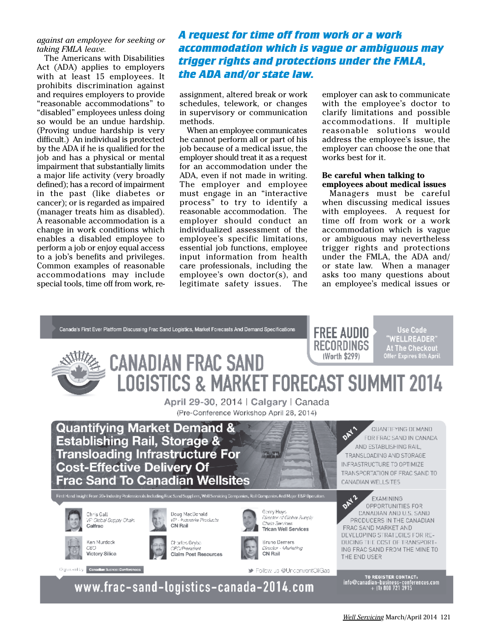### *against an employee for seeking or taking FMLA leave.*

The Americans with Disabilities Act (ADA) applies to employers with at least 15 employees. It prohibits discrimination against and requires employers to provide "reasonable accommodations" to "disabled" employees unless doing so would be an undue hardship. (Proving undue hardship is very difficult.) An individual is protected by the ADA if he is qualified for the job and has a physical or mental impairment that substantially limits a major life activity (very broadly defined); has a record of impairment in the past (like diabetes or cancer); or is regarded as impaired (manager treats him as disabled). A reasonable accommodation is a change in work conditions which enables a disabled employee to perform a job or enjoy equal access to a job's benefits and privileges. Common examples of reasonable accommodations may include special tools, time off from work, re-

# *A request for time off from work or a work accommodation which is vague or ambiguous may trigger rights and protections under the FMLA, the ADA and/or state law.*

assignment, altered break or work schedules, telework, or changes in supervisory or communication methods.

When an employee communicates he cannot perform all or part of his job because of a medical issue, the employer should treat it as a request for an accommodation under the ADA, even if not made in writing. The employer and employee must engage in an "interactive process" to try to identify a reasonable accommodation. The employer should conduct an individualized assessment of the employee's specific limitations, essential job functions, employee input information from health care professionals, including the employee's own doctor(s), and legitimate safety issues. The employer can ask to communicate with the employee's doctor to clarify limitations and possible accommodations. If multiple reasonable solutions would address the employee's issue, the employer can choose the one that works best for it.

### **Be careful when talking to employees about medical issues**

Managers must be careful when discussing medical issues with employees. A request for time off from work or a work accommodation which is vague or ambiguous may nevertheless trigger rights and protections under the FMLA, the ADA and/ or state law. When a manager asks too many questions about an employee's medical issues or